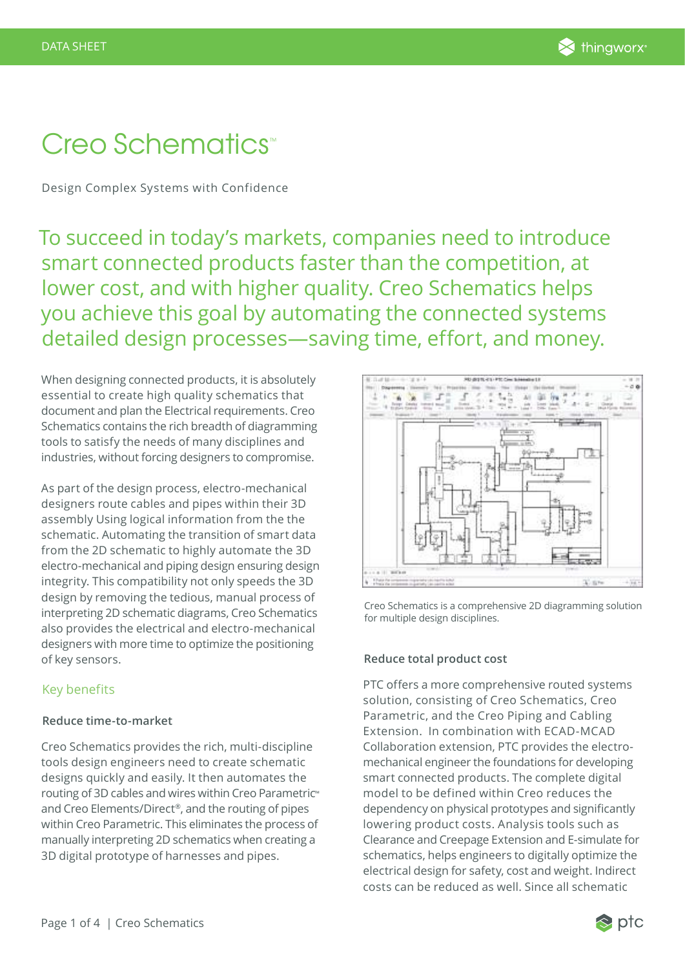# Creo Schematics<sup>®</sup>

Design Complex Systems with Confidence

To succeed in today's markets, companies need to introduce smart connected products faster than the competition, at lower cost, and with higher quality. Creo Schematics helps you achieve this goal by automating the connected systems detailed design processes—saving time, effort, and money.

When designing connected products, it is absolutely essential to create high quality schematics that document and plan the Electrical requirements. Creo Schematics contains the rich breadth of diagramming tools to satisfy the needs of many disciplines and industries, without forcing designers to compromise.

As part of the design process, electro-mechanical designers route cables and pipes within their 3D assembly Using logical information from the the schematic. Automating the transition of smart data from the 2D schematic to highly automate the 3D electro-mechanical and piping design ensuring design integrity. This compatibility not only speeds the 3D design by removing the tedious, manual process of interpreting 2D schematic diagrams, Creo Schematics also provides the electrical and electro-mechanical designers with more time to optimize the positioning of key sensors.

# Key benefits

# **Reduce time-to-market**

Creo Schematics provides the rich, multi-discipline tools design engineers need to create schematic designs quickly and easily. It then automates the routing of 3D cables and wires within Creo Parametric™ and Creo Elements/Direct®, and the routing of pipes within Creo Parametric. This eliminates the process of manually interpreting 2D schematics when creating a 3D digital prototype of harnesses and pipes.



Creo Schematics is a comprehensive 2D diagramming solution for multiple design disciplines.

# **Reduce total product cost**

PTC offers a more comprehensive routed systems solution, consisting of Creo Schematics, Creo Parametric, and the Creo Piping and Cabling Extension. In combination with ECAD-MCAD Collaboration extension, PTC provides the electromechanical engineer the foundations for developing smart connected products. The complete digital model to be defined within Creo reduces the dependency on physical prototypes and significantly lowering product costs. Analysis tools such as Clearance and Creepage Extension and E-simulate for schematics, helps engineers to digitally optimize the electrical design for safety, cost and weight. Indirect costs can be reduced as well. Since all schematic

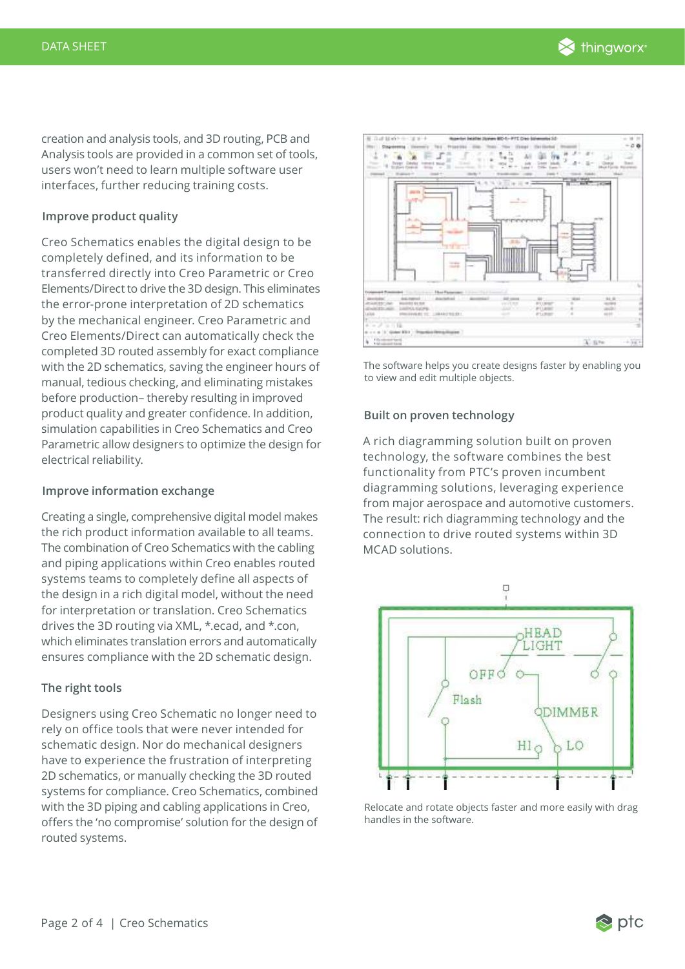creation and analysis tools, and 3D routing, PCB and Analysis tools are provided in a common set of tools, users won't need to learn multiple software user interfaces, further reducing training costs.

## **Improve product quality**

Creo Schematics enables the digital design to be completely defined, and its information to be transferred directly into Creo Parametric or Creo Elements/Direct to drive the 3D design. This eliminates the error-prone interpretation of 2D schematics by the mechanical engineer. Creo Parametric and Creo Elements/Direct can automatically check the completed 3D routed assembly for exact compliance with the 2D schematics, saving the engineer hours of manual, tedious checking, and eliminating mistakes before production– thereby resulting in improved product quality and greater confidence. In addition, simulation capabilities in Creo Schematics and Creo Parametric allow designers to optimize the design for electrical reliability.

### **Improve information exchange**

Creating a single, comprehensive digital model makes the rich product information available to all teams. The combination of Creo Schematics with the cabling and piping applications within Creo enables routed systems teams to completely define all aspects of the design in a rich digital model, without the need for interpretation or translation. Creo Schematics drives the 3D routing via XML, \*.ecad, and \*.con, which eliminates translation errors and automatically ensures compliance with the 2D schematic design.

# **The right tools**

Designers using Creo Schematic no longer need to rely on office tools that were never intended for schematic design. Nor do mechanical designers have to experience the frustration of interpreting 2D schematics, or manually checking the 3D routed systems for compliance. Creo Schematics, combined with the 3D piping and cabling applications in Creo, offers the 'no compromise' solution for the design of routed systems.



The software helps you create designs faster by enabling you to view and edit multiple objects.

#### **Built on proven technology**

A rich diagramming solution built on proven technology, the software combines the best functionality from PTC's proven incumbent diagramming solutions, leveraging experience from major aerospace and automotive customers. The result: rich diagramming technology and the connection to drive routed systems within 3D MCAD solutions.



Relocate and rotate objects faster and more easily with drag handles in the software.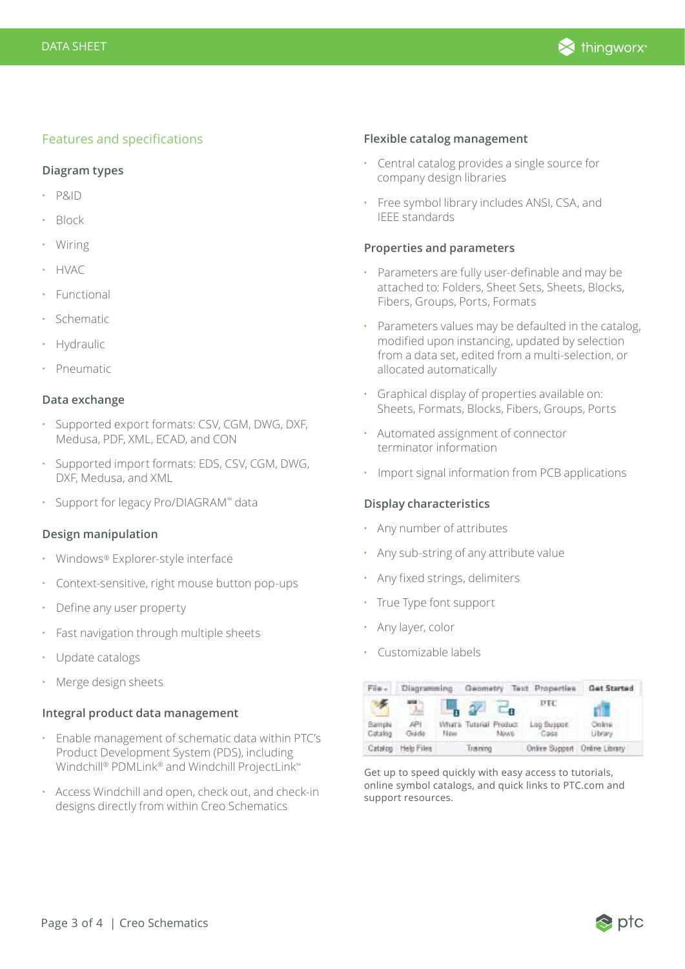

# Features and specifications

#### **Diagram types**

- P&ID
- Block
- Wiring
- HVAC
- Functional
- Schematic
- **Hydraulic**
- Pneumatic

## **Data exchange**

- Supported export formats: CSV, CGM, DWG, DXF, Medusa, PDF, XML, ECAD, and CON
- Supported import formats: EDS, CSV, CGM, DWG, DXF, Medusa, and XML
- Support for legacy Pro/DIAGRAM™ data

## **Design manipulation**

- Windows® Explorer-style interface
- Context-sensitive, right mouse button pop-ups
- Define any user property
- Fast navigation through multiple sheets
- Update catalogs
- Merge design sheets

#### **Integral product data management**

- Enable management of schematic data within PTC's Product Development System (PDS), including Windchill® PDMLink® and Windchill ProjectLink™
- Access Windchill and open, check out, and check-in designs directly from within Creo Schematics

#### **Flexible catalog management**

- Central catalog provides a single source for company design libraries
- Free symbol library includes ANSI, CSA, and IEEE standards

## **Properties and parameters**

- Parameters are fully user-definable and may be attached to: Folders, Sheet Sets, Sheets, Blocks, Fibers, Groups, Ports, Formats
- Parameters values may be defaulted in the catalog, modified upon instancing, updated by selection from a data set, edited from a multi-selection, or allocated automatically
- Graphical display of properties available on: Sheets, Formats, Blocks, Fibers, Groups, Ports
- Automated assignment of connector terminator information
- Import signal information from PCB applications

#### **Display characteristics**

- Any number of attributes
- Any sub-string of any attribute value
- Any fixed strings, delimiters
- True Type font support
- Any layer, color
- Customizable labels

| Film-                     | Diagramming Geometry Text Properties |  |                                     |  |                               | Get Started       |
|---------------------------|--------------------------------------|--|-------------------------------------|--|-------------------------------|-------------------|
|                           | sta                                  |  | $h \propto$                         |  | <b>DTC</b>                    |                   |
| <b>Barrola</b><br>Catalog | API<br>Guida                         |  | What's Tutarial Product<br>Now Move |  | Log Support<br>$-$ Cass       | Online<br>Library |
|                           | Catalog Help Files                   |  | Traning                             |  | Online Support Online Library |                   |

Get up to speed quickly with easy access to tutorials, online symbol catalogs, and quick links to PTC.com and support resources.